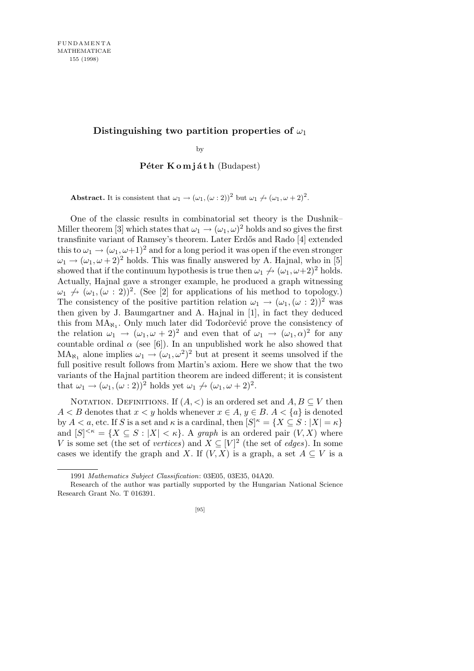## Distinguishing two partition properties of  $\omega_1$

by

**Péter Komiáth** (Budapest)

**Abstract.** It is consistent that  $\omega_1 \rightarrow (\omega_1, (\omega:2))^2$  but  $\omega_1 \rightarrow (\omega_1, \omega+2)^2$ .

One of the classic results in combinatorial set theory is the Dushnik– Miller theorem [3] which states that  $\omega_1 \to (\omega_1, \omega)^2$  holds and so gives the first transfinite variant of Ramsey's theorem. Later Erdős and Rado [4] extended this to  $\omega_1 \to (\omega_1, \omega + 1)^2$  and for a long period it was open if the even stronger  $\omega_1 \rightarrow (\omega_1, \omega + 2)^2$  holds. This was finally answered by A. Hajnal, who in [5] showed that if the continuum hypothesis is true then  $\omega_1 \nrightarrow (\omega_1, \omega + 2)^2$  holds. Actually, Hajnal gave a stronger example, he produced a graph witnessing  $\omega_1 \nrightarrow (\omega_1, (\omega : 2))^2$ . (See [2] for applications of his method to topology.) The consistency of the positive partition relation  $\omega_1 \rightarrow (\omega_1, (\omega : 2))^2$  was then given by J. Baumgartner and A. Hajnal in [1], in fact they deduced this from  $MA_{N_1}$ . Only much later did Todorčević prove the consistency of the relation  $\omega_1 \rightarrow (\omega_1, \omega + 2)^2$  and even that of  $\omega_1 \rightarrow (\omega_1, \alpha)^2$  for any countable ordinal  $\alpha$  (see [6]). In an unpublished work he also showed that  $MA_{\aleph_1}$  alone implies  $\omega_1 \rightarrow (\omega_1, \omega^2)^2$  but at present it seems unsolved if the full positive result follows from Martin's axiom. Here we show that the two variants of the Hajnal partition theorem are indeed different; it is consistent that  $\omega_1 \to (\omega_1, (\omega : 2))^2$  holds yet  $\omega_1 \to (\omega_1, \omega + 2)^2$ .

NOTATION. DEFINITIONS. If  $(A, \leq)$  is an ordered set and  $A, B \subseteq V$  then *A* < *B* denotes that  $x < y$  holds whenever  $x \in A$ ,  $y \in B$ .  $A < \{a\}$  is denoted by *A* < *a*, etc. If *S* is a set and  $\kappa$  is a cardinal, then  $[S]^{\kappa} = \{X \subseteq S : |X| = \kappa\}$ and  $[S]^{<\kappa} = \{X \subseteq S : |X| < \kappa\}$ . A *graph* is an ordered pair  $(V, X)$  where *V* is some set (the set of *vertices*) and  $X \subseteq [V]^2$  (the set of *edges*). In some cases we identify the graph and *X*. If  $(V, X)$  is a graph, a set  $A \subseteq V$  is a

<sup>1991</sup> *Mathematics Subject Classification*: 03E05, 03E35, 04A20.

Research of the author was partially supported by the Hungarian National Science Research Grant No. T 016391.

<sup>[95]</sup>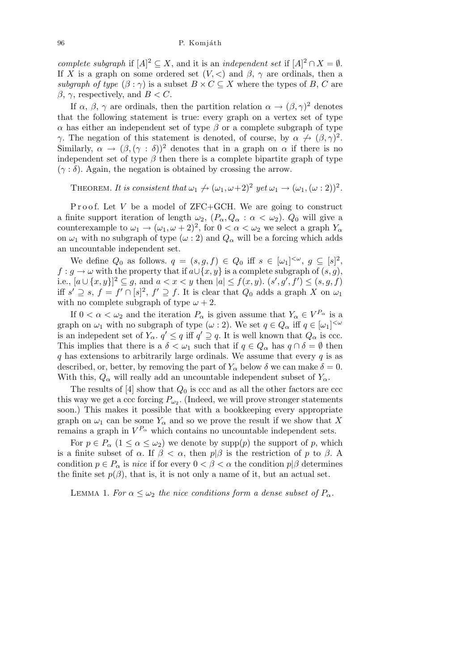*complete subgraph* if  $[A]^2 \subseteq X$ , and it is an *independent set* if  $[A]^2 \cap X = \emptyset$ . If *X* is a graph on some ordered set  $(V, <)$  and  $\beta$ ,  $\gamma$  are ordinals, then a *subgraph of type*  $(\beta : \gamma)$  is a subset  $B \times C \subseteq X$  where the types of *B*, *C* are *β*, *γ*, respectively, and *B < C*.

If  $\alpha$ ,  $\beta$ ,  $\gamma$  are ordinals, then the partition relation  $\alpha \to (\beta, \gamma)^2$  denotes that the following statement is true: every graph on a vertex set of type *α* has either an independent set of type  $\beta$  or a complete subgraph of type *γ*. The negation of this statement is denoted, of course, by  $\alpha \nrightarrow (\beta, \gamma)^2$ . Similarly,  $\alpha \to (\beta, (\gamma : \delta))^2$  denotes that in a graph on  $\alpha$  if there is no independent set of type  $\beta$  then there is a complete bipartite graph of type  $(\gamma : \delta)$ . Again, the negation is obtained by crossing the arrow.

THEOREM. It is consistent that  $\omega_1 \nrightarrow (\omega_1, \omega+2)^2$  yet  $\omega_1 \rightarrow (\omega_1, (\omega:2))^2$ .

Proof. Let *V* be a model of ZFC+GCH. We are going to construct a finite support iteration of length  $\omega_2$ ,  $(P_\alpha, Q_\alpha : \alpha < \omega_2$ ).  $Q_0$  will give a counterexample to  $\omega_1 \to (\omega_1, \omega + 2)^2$ , for  $0 < \alpha < \omega_2$  we select a graph  $Y_\alpha$ on  $\omega_1$  with no subgraph of type  $(\omega:2)$  and  $Q_\alpha$  will be a forcing which adds an uncountable independent set.

We define  $Q_0$  as follows.  $q = (s, g, f) \in Q_0$  iff  $s \in [\omega_1]^{<\omega}$ ,  $g \subseteq [s]^2$ ,  $f : g \to \omega$  with the property that if  $a \cup \{x, y\}$  is a complete subgraph of  $(s, g)$ , i.e.,  $[a \cup \{x,y\}]^2 \subseteq g$ , and  $a < x < y$  then  $|a| \le f(x,y)$ .  $(s',g',f') \le (s,g,f)$ iff *s*<sup> $'$ </sup> ⊇ *s*, *f* = *f*<sup> $'$ </sup> ∩ [*s*]<sup>2</sup>, *f*<sup> $'$ </sup> ⊇ *f*. It is clear that *Q*<sub>0</sub> adds a graph *X* on *ω*<sub>1</sub> with no complete subgraph of type  $\omega + 2$ .

If  $0 < \alpha < \omega_2$  and the iteration  $P_\alpha$  is given assume that  $Y_\alpha \in V^{P_\alpha}$  is a graph on  $\omega_1$  with no subgraph of type  $(\omega : 2)$ . We set  $q \in Q_\alpha$  iff  $q \in [\omega_1]^{<\omega}$ is an indepedent set of  $Y_\alpha$ ,  $q' \leq q$  iff  $q' \supseteq q$ . It is well known that  $Q_\alpha$  is ccc. This implies that there is a  $\delta < \omega_1$  such that if  $q \in Q_\alpha$  has  $q \cap \delta = \emptyset$  then *q* has extensions to arbitrarily large ordinals. We assume that every *q* is as described, or, better, by removing the part of  $Y_\alpha$  below  $\delta$  we can make  $\delta = 0$ . With this,  $Q_{\alpha}$  will really add an uncountable independent subset of  $Y_{\alpha}$ .

The results of  $[4]$  show that  $Q_0$  is ccc and as all the other factors are ccc this way we get a ccc forcing  $P_{\omega_2}$ . (Indeed, we will prove stronger statements soon.) This makes it possible that with a bookkeeping every appropriate graph on  $\omega_1$  can be some  $Y_\alpha$  and so we prove the result if we show that X remains a graph in  $V^{P_\alpha}$  which contains no uncountable independent sets.

For  $p \in P_\alpha$  ( $1 \le \alpha \le \omega_2$ ) we denote by supp(*p*) the support of *p*, which is a finite subset of  $\alpha$ . If  $\beta < \alpha$ , then  $p|\beta$  is the restriction of p to  $\beta$ . A condition  $p \in P_\alpha$  is *nice* if for every  $0 < \beta < \alpha$  the condition  $p|\beta$  determines the finite set  $p(\beta)$ , that is, it is not only a name of it, but an actual set.

LEMMA 1. For  $\alpha \leq \omega_2$  the nice conditions form a dense subset of  $P_\alpha$ .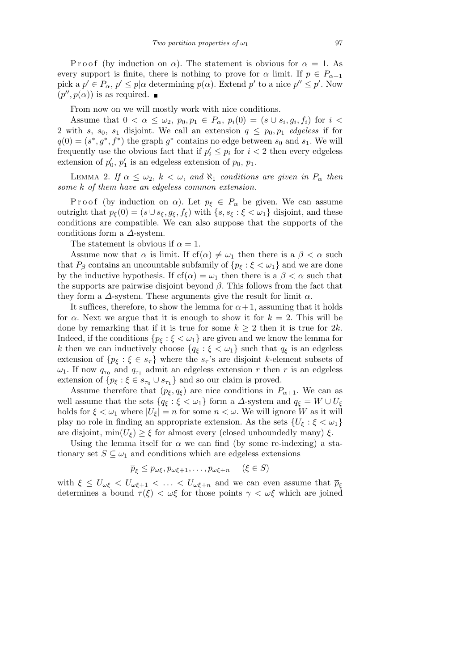P r o o f (by induction on  $\alpha$ ). The statement is obvious for  $\alpha = 1$ . As every support is finite, there is nothing to prove for  $\alpha$  limit. If  $p \in P_{\alpha+1}$ pick a  $p' \in P_\alpha$ ,  $p' \leq p | \alpha$  determining  $p(\alpha)$ . Extend  $p'$  to a nice  $p'' \leq p'$ . Now  $(p'', p(\alpha))$  is as required.

From now on we will mostly work with nice conditions.

Assume that  $0 < \alpha \leq \omega_2$ ,  $p_0, p_1 \in P_\alpha$ ,  $p_i(0) = (s \cup s_i, g_i, f_i)$  for  $i <$ 2 with *s*, *s*<sub>0</sub>, *s*<sub>1</sub> disjoint. We call an extension  $q \leq p_0, p_1$  *edgeless* if for  $q(0) = (s^*, g^*, f^*)$  the graph  $g^*$  contains no edge between  $s_0$  and  $s_1$ . We will frequently use the obvious fact that if  $p'_i \leq p_i$  for  $i < 2$  then every edgeless extension of  $p'_0$ ,  $p'_1$  is an edgeless extension of  $p_0$ ,  $p_1$ .

LEMMA 2. *If*  $\alpha \leq \omega_2$ ,  $k < \omega$ , and  $\aleph_1$  conditions are given in  $P_\alpha$  then *some k of them have an edgeless common extension.*

Proof (by induction on  $\alpha$ ). Let  $p_{\xi} \in P_{\alpha}$  be given. We can assume outright that  $p_{\xi}(0) = (s \cup s_{\xi}, g_{\xi}, f_{\xi})$  with  $\{s, s_{\xi} : \xi < \omega_1\}$  disjoint, and these conditions are compatible. We can also suppose that the supports of the conditions form a *∆*-system.

The statement is obvious if  $\alpha = 1$ .

Assume now that  $\alpha$  is limit. If cf( $\alpha$ )  $\neq \omega_1$  then there is a  $\beta < \alpha$  such that  $P_\beta$  contains an uncountable subfamily of  $\{p_\xi : \xi < \omega_1\}$  and we are done by the inductive hypothesis. If  $cf(\alpha) = \omega_1$  then there is a  $\beta < \alpha$  such that the supports are pairwise disjoint beyond *β*. This follows from the fact that they form a  $\Delta$ -system. These arguments give the result for limit  $\alpha$ .

It suffices, therefore, to show the lemma for  $\alpha + 1$ , assuming that it holds for  $\alpha$ . Next we argue that it is enough to show it for  $k = 2$ . This will be done by remarking that if it is true for some  $k \geq 2$  then it is true for 2*k*. Indeed, if the conditions  ${p_{\xi} : \xi < \omega_1}$  are given and we know the lemma for *k* then we can inductively choose  ${q_\xi : \xi < \omega_1}$  such that  $q_\xi$  is an edgeless extension of  ${p_{\xi} : \xi \in s_{\tau}}$  where the  $s_{\tau}$ 's are disjoint *k*-element subsets of  $\omega_1$ . If now  $q_{\tau_0}$  and  $q_{\tau_1}$  admit an edgeless extension *r* then *r* is an edgeless extension of  $\{p_{\xi} : \xi \in s_{\tau_0} \cup s_{\tau_1}\}\$ and so our claim is proved.

Assume therefore that  $(p_{\xi}, q_{\xi})$  are nice conditions in  $P_{\alpha+1}$ . We can as well assume that the sets  ${q_\xi : \xi < \omega_1}$  form a *∆*-system and  $q_\xi = W \cup U_\xi$ holds for  $\xi < \omega_1$  where  $|U_{\xi}| = n$  for some  $n < \omega$ . We will ignore *W* as it will play no role in finding an appropriate extension. As the sets  $\{U_{\xi} : \xi < \omega_1\}$ are disjoint,  $\min(U_{\xi}) \geq \xi$  for almost every (closed unboundedly many)  $\xi$ .

Using the lemma itself for  $\alpha$  we can find (by some re-indexing) a stationary set  $S \subseteq \omega_1$  and conditions which are edgeless extensions

$$
\overline{p}_{\xi} \le p_{\omega\xi}, p_{\omega\xi+1}, \dots, p_{\omega\xi+n} \quad (\xi \in S)
$$

with  $\xi \leq U_{\omega\xi} < U_{\omega\xi+1} < \ldots < U_{\omega\xi+n}$  and we can even assume that  $\overline{p}_{\xi}$ determines a bound  $\tau(\xi) < \omega\xi$  for those points  $\gamma < \omega\xi$  which are joined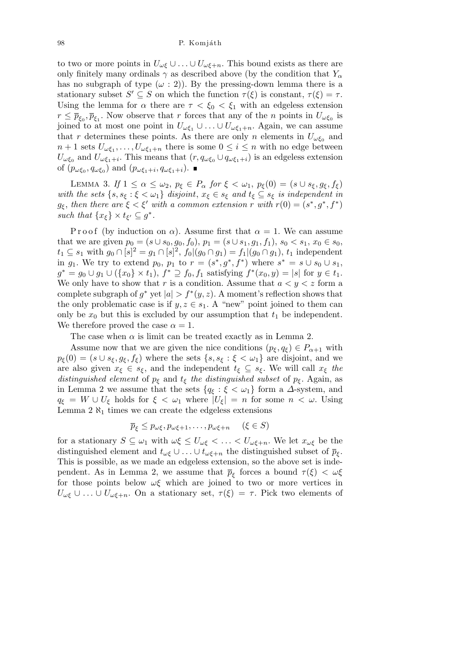to two or more points in  $U_{\omega\xi} \cup ... \cup U_{\omega\xi+n}$ . This bound exists as there are only finitely many ordinals  $\gamma$  as described above (by the condition that  $Y_\alpha$ has no subgraph of type  $(\omega : 2)$ ). By the pressing-down lemma there is a stationary subset  $S' \subseteq S$  on which the function  $\tau(\xi)$  is constant,  $\tau(\xi) = \tau$ . Using the lemma for  $\alpha$  there are  $\tau < \xi_0 < \xi_1$  with an edgeless extension  $r \leq \overline{p}_{\xi_0}, \overline{p}_{\xi_1}$ . Now observe that *r* forces that any of the *n* points in  $U_{\omega \xi_0}$  is joined to at most one point in  $U_{\omega\xi_1} \cup \ldots \cup U_{\omega\xi_1+n}$ . Again, we can assume that *r* determines these points. As there are only *n* elements in  $U_{\omega \xi_0}$  and  $n+1$  sets  $U_{\omega\xi_1}, \ldots, U_{\omega\xi_1+n}$  there is some  $0 \leq i \leq n$  with no edge between  $U_{\omega\xi_0}$  and  $U_{\omega\xi_1+i}$ . This means that  $(r, q_{\omega\xi_0} \cup q_{\omega\xi_1+i})$  is an edgeless extension of  $(p_{\omega\xi_0}, q_{\omega\xi_0})$  and  $(p_{\omega\xi_1+i}, q_{\omega\xi_1+i}).$ 

LEMMA 3. *If*  $1 \le \alpha \le \omega_2$ ,  $p_{\xi} \in P_{\alpha}$  for  $\xi < \omega_1$ ,  $p_{\xi}(0) = (s \cup s_{\xi}, g_{\xi}, f_{\xi})$ *with the sets*  $\{s, s_{\xi} : \xi < \omega_1\}$  *disjoint,*  $x_{\xi} \in s_{\xi}$  *and*  $t_{\xi} \subseteq s_{\xi}$  *is independent in g*<sub> $\xi$ </sub>, then there are  $\xi < \xi'$  with a common extension *r* with  $r(0) = (s^*, g^*, f^*)$ *such that*  $\{x_{\xi}\}\times t_{\xi'} \subseteq g^*$ .

P r o o f (by induction on  $\alpha$ ). Assume first that  $\alpha = 1$ . We can assume that we are given  $p_0 = (s \cup s_0, g_0, f_0), p_1 = (s \cup s_1, g_1, f_1), s_0 < s_1, x_0 \in s_0$  $t_1 \subseteq s_1$  with  $g_0 \cap [s]^2 = g_1 \cap [s]^2$ ,  $f_0|(g_0 \cap g_1) = f_1|(g_0 \cap g_1)$ ,  $t_1$  independent in *g*<sub>1</sub>. We try to extend *p*<sub>0</sub>, *p*<sub>1</sub> to *r* =  $(s^*, g^*, f^*)$  where  $s^* = s \cup s_0 \cup s_1$ ,  $g^* = g_0 \cup g_1 \cup (\{x_0\} \times t_1), f^* \supseteq f_0, f_1$  satisfying  $f^*(x_0, y) = |s|$  for  $y \in t_1$ . We only have to show that *r* is a condition. Assume that  $a < y < z$  form a complete subgraph of  $g^*$  yet  $|a| > f^*(y, z)$ . A moment's reflection shows that the only problematic case is if  $y, z \in s_1$ . A "new" point joined to them can only be  $x_0$  but this is excluded by our assumption that  $t_1$  be independent. We therefore proved the case  $\alpha = 1$ .

The case when  $\alpha$  is limit can be treated exactly as in Lemma 2.

Assume now that we are given the nice conditions  $(p_{\xi}, q_{\xi}) \in P_{\alpha+1}$  with  $p_{\xi}(0) = (s \cup s_{\xi}, g_{\xi}, f_{\xi})$  where the sets  $\{s, s_{\xi} : \xi < \omega_1\}$  are disjoint, and we are also given  $x_{\xi} \in s_{\xi}$ , and the independent  $t_{\xi} \subseteq s_{\xi}$ . We will call  $x_{\xi}$  the *distinguished element* of  $p_{\xi}$  and  $t_{\xi}$  *the distinguished subset* of  $p_{\xi}$ . Again, as in Lemma 2 we assume that the sets  ${q_{\xi} : \xi < \omega_1}$  form a  $\Delta$ -system, and  $q_{\xi} = W \cup U_{\xi}$  holds for  $\xi < \omega_1$  where  $|U_{\xi}| = n$  for some  $n < \omega$ . Using Lemma  $2 \aleph_1$  times we can create the edgeless extensions

$$
\overline{p}_{\xi} \le p_{\omega\xi}, p_{\omega\xi+1}, \dots, p_{\omega\xi+n} \quad (\xi \in S)
$$

for a stationary  $S \subseteq \omega_1$  with  $\omega \xi \leq U_{\omega\xi} < \ldots < U_{\omega\xi+n}$ . We let  $x_{\omega\xi}$  be the distinguished element and  $t_{\omega\xi} \cup \ldots \cup t_{\omega\xi+n}$  the distinguished subset of  $\overline{p}_{\xi}$ . This is possible, as we made an edgeless extension, so the above set is independent. As in Lemma 2, we assume that  $\bar{p}_{\xi}$  forces a bound  $\tau(\xi) < \omega \xi$ for those points below *ωξ* which are joined to two or more vertices in  $U_{\omega\xi} \cup \ldots \cup U_{\omega\xi+n}$ . On a stationary set,  $\tau(\xi) = \tau$ . Pick two elements of